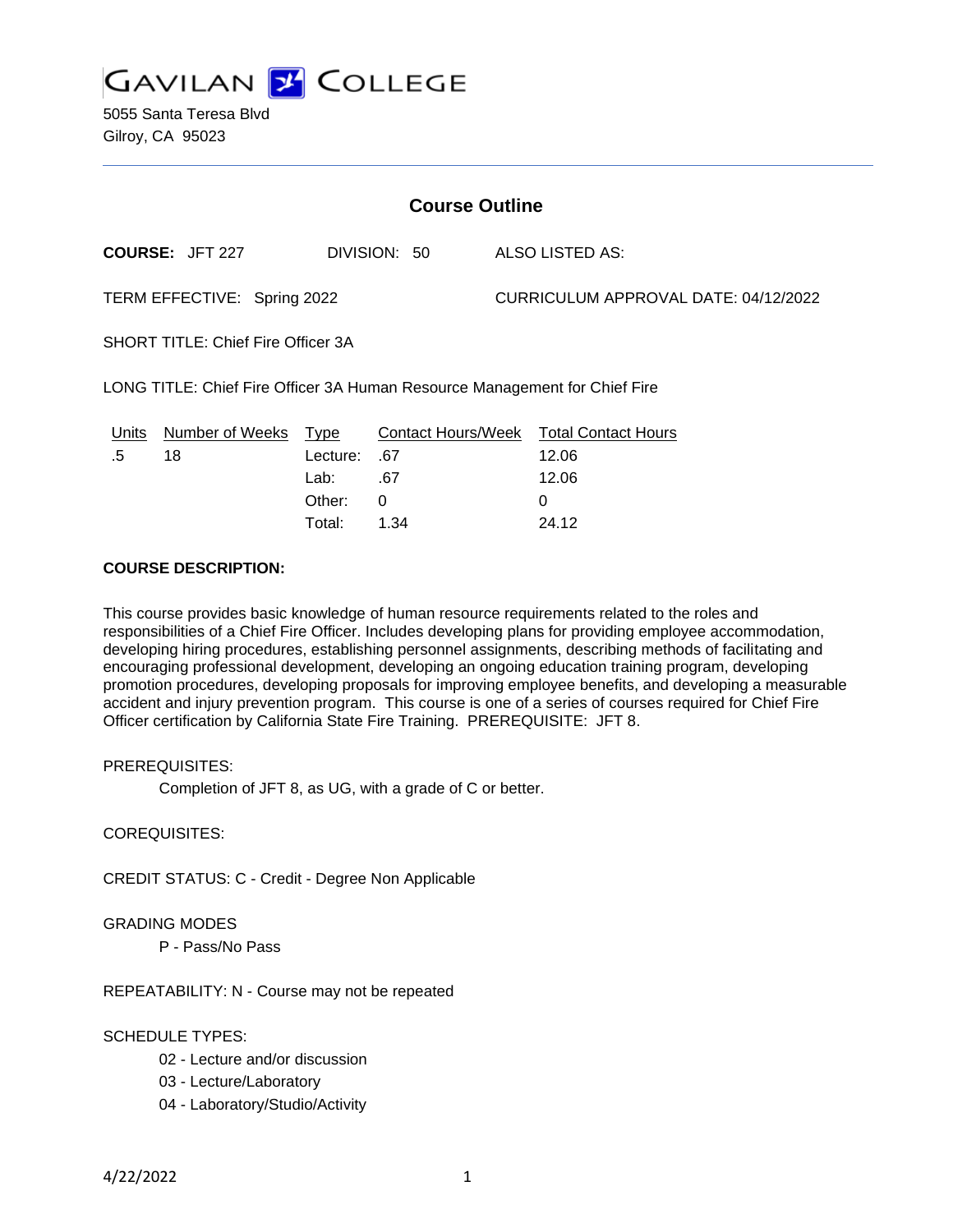

| <b>Course Outline</b>                                                      |                        |          |                           |  |                                      |  |
|----------------------------------------------------------------------------|------------------------|----------|---------------------------|--|--------------------------------------|--|
|                                                                            | <b>COURSE: JFT 227</b> |          | DIVISION: 50              |  | ALSO LISTED AS:                      |  |
| TERM EFFECTIVE: Spring 2022                                                |                        |          |                           |  | CURRICULUM APPROVAL DATE: 04/12/2022 |  |
| <b>SHORT TITLE: Chief Fire Officer 3A</b>                                  |                        |          |                           |  |                                      |  |
| LONG TITLE: Chief Fire Officer 3A Human Resource Management for Chief Fire |                        |          |                           |  |                                      |  |
| Units                                                                      | Number of Weeks        | Type     | <b>Contact Hours/Week</b> |  | <b>Total Contact Hours</b>           |  |
| .5                                                                         | 18                     | Lecture: | .67                       |  | 12.06                                |  |
|                                                                            |                        | Lab:     | .67                       |  | 12.06                                |  |
|                                                                            |                        | Other:   | 0                         |  | 0                                    |  |

Total: 1.34 24.12

## **COURSE DESCRIPTION:**

This course provides basic knowledge of human resource requirements related to the roles and responsibilities of a Chief Fire Officer. Includes developing plans for providing employee accommodation, developing hiring procedures, establishing personnel assignments, describing methods of facilitating and encouraging professional development, developing an ongoing education training program, developing promotion procedures, developing proposals for improving employee benefits, and developing a measurable accident and injury prevention program. This course is one of a series of courses required for Chief Fire Officer certification by California State Fire Training. PREREQUISITE: JFT 8.

#### PREREQUISITES:

Completion of JFT 8, as UG, with a grade of C or better.

#### COREQUISITES:

CREDIT STATUS: C - Credit - Degree Non Applicable

#### GRADING MODES

P - Pass/No Pass

#### REPEATABILITY: N - Course may not be repeated

#### SCHEDULE TYPES:

- 02 Lecture and/or discussion
- 03 Lecture/Laboratory
- 04 Laboratory/Studio/Activity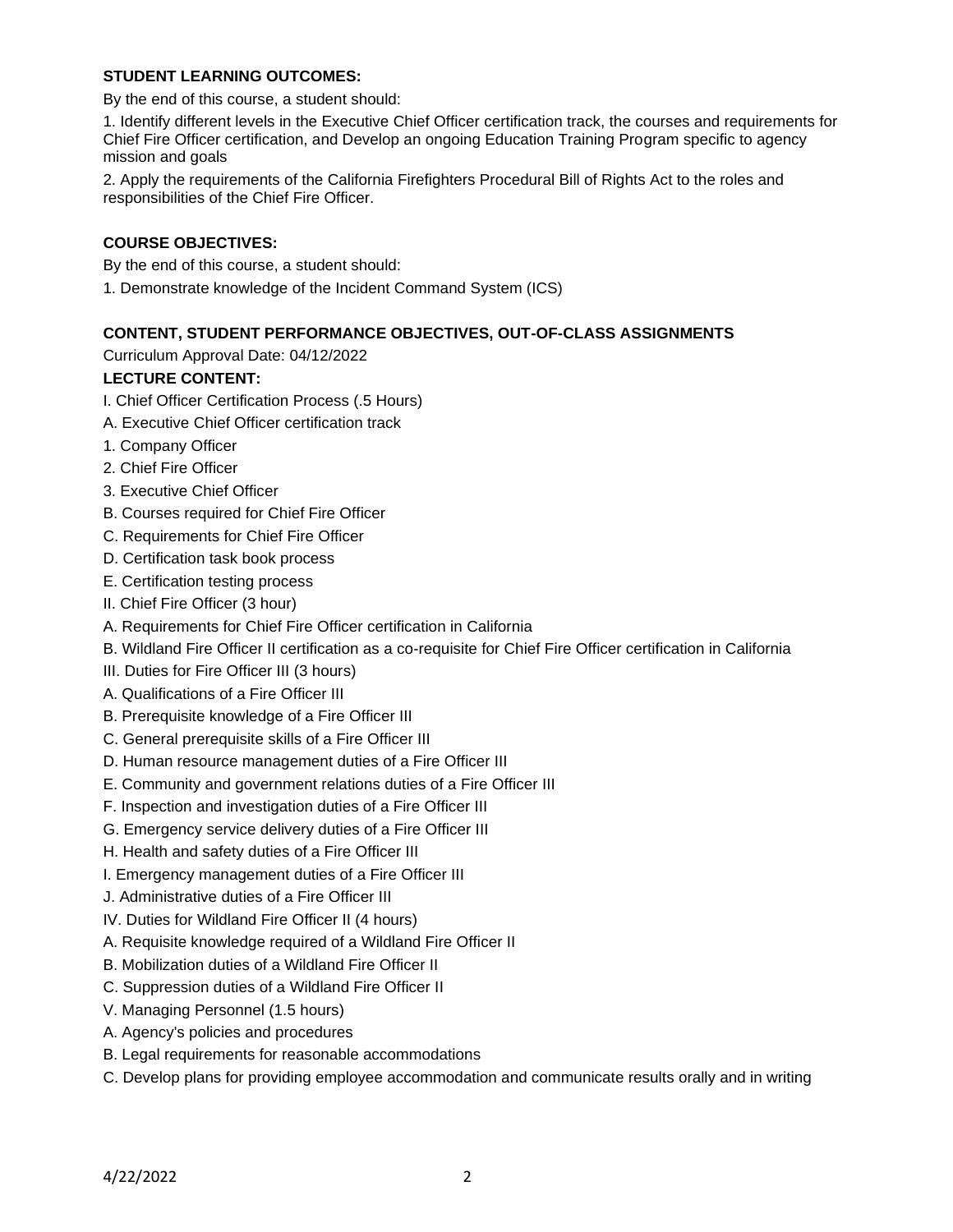### **STUDENT LEARNING OUTCOMES:**

By the end of this course, a student should:

1. Identify different levels in the Executive Chief Officer certification track, the courses and requirements for Chief Fire Officer certification, and Develop an ongoing Education Training Program specific to agency mission and goals

2. Apply the requirements of the California Firefighters Procedural Bill of Rights Act to the roles and responsibilities of the Chief Fire Officer.

## **COURSE OBJECTIVES:**

By the end of this course, a student should:

1. Demonstrate knowledge of the Incident Command System (ICS)

## **CONTENT, STUDENT PERFORMANCE OBJECTIVES, OUT-OF-CLASS ASSIGNMENTS**

Curriculum Approval Date: 04/12/2022

## **LECTURE CONTENT:**

- I. Chief Officer Certification Process (.5 Hours)
- A. Executive Chief Officer certification track
- 1. Company Officer
- 2. Chief Fire Officer
- 3. Executive Chief Officer
- B. Courses required for Chief Fire Officer
- C. Requirements for Chief Fire Officer
- D. Certification task book process
- E. Certification testing process
- II. Chief Fire Officer (3 hour)
- A. Requirements for Chief Fire Officer certification in California
- B. Wildland Fire Officer II certification as a co-requisite for Chief Fire Officer certification in California
- III. Duties for Fire Officer III (3 hours)
- A. Qualifications of a Fire Officer III
- B. Prerequisite knowledge of a Fire Officer III
- C. General prerequisite skills of a Fire Officer III
- D. Human resource management duties of a Fire Officer III
- E. Community and government relations duties of a Fire Officer III
- F. Inspection and investigation duties of a Fire Officer III
- G. Emergency service delivery duties of a Fire Officer III
- H. Health and safety duties of a Fire Officer III
- I. Emergency management duties of a Fire Officer III
- J. Administrative duties of a Fire Officer III
- IV. Duties for Wildland Fire Officer II (4 hours)
- A. Requisite knowledge required of a Wildland Fire Officer II
- B. Mobilization duties of a Wildland Fire Officer II
- C. Suppression duties of a Wildland Fire Officer II
- V. Managing Personnel (1.5 hours)
- A. Agency's policies and procedures
- B. Legal requirements for reasonable accommodations
- C. Develop plans for providing employee accommodation and communicate results orally and in writing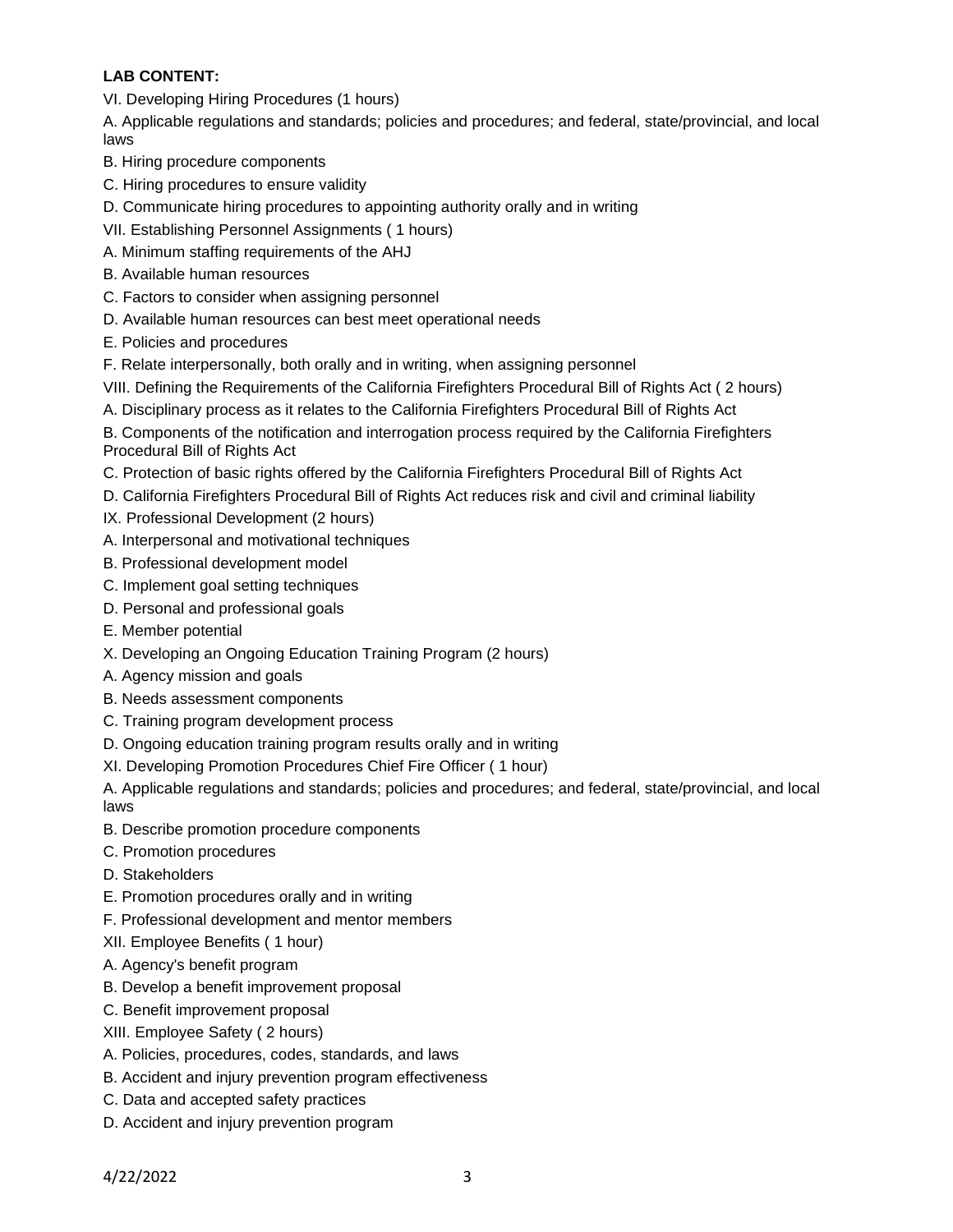# **LAB CONTENT:**

VI. Developing Hiring Procedures (1 hours)

A. Applicable regulations and standards; policies and procedures; and federal, state/provincial, and local laws

- B. Hiring procedure components
- C. Hiring procedures to ensure validity
- D. Communicate hiring procedures to appointing authority orally and in writing
- VII. Establishing Personnel Assignments ( 1 hours)
- A. Minimum staffing requirements of the AHJ
- B. Available human resources
- C. Factors to consider when assigning personnel
- D. Available human resources can best meet operational needs
- E. Policies and procedures
- F. Relate interpersonally, both orally and in writing, when assigning personnel
- VIII. Defining the Requirements of the California Firefighters Procedural Bill of Rights Act ( 2 hours)
- A. Disciplinary process as it relates to the California Firefighters Procedural Bill of Rights Act

B. Components of the notification and interrogation process required by the California Firefighters Procedural Bill of Rights Act

- C. Protection of basic rights offered by the California Firefighters Procedural Bill of Rights Act
- D. California Firefighters Procedural Bill of Rights Act reduces risk and civil and criminal liability
- IX. Professional Development (2 hours)
- A. Interpersonal and motivational techniques
- B. Professional development model
- C. Implement goal setting techniques
- D. Personal and professional goals
- E. Member potential
- X. Developing an Ongoing Education Training Program (2 hours)
- A. Agency mission and goals
- B. Needs assessment components
- C. Training program development process
- D. Ongoing education training program results orally and in writing
- XI. Developing Promotion Procedures Chief Fire Officer ( 1 hour)

A. Applicable regulations and standards; policies and procedures; and federal, state/provincial, and local laws

- B. Describe promotion procedure components
- C. Promotion procedures
- D. Stakeholders
- E. Promotion procedures orally and in writing
- F. Professional development and mentor members
- XII. Employee Benefits ( 1 hour)
- A. Agency's benefit program
- B. Develop a benefit improvement proposal
- C. Benefit improvement proposal
- XIII. Employee Safety ( 2 hours)
- A. Policies, procedures, codes, standards, and laws
- B. Accident and injury prevention program effectiveness
- C. Data and accepted safety practices
- D. Accident and injury prevention program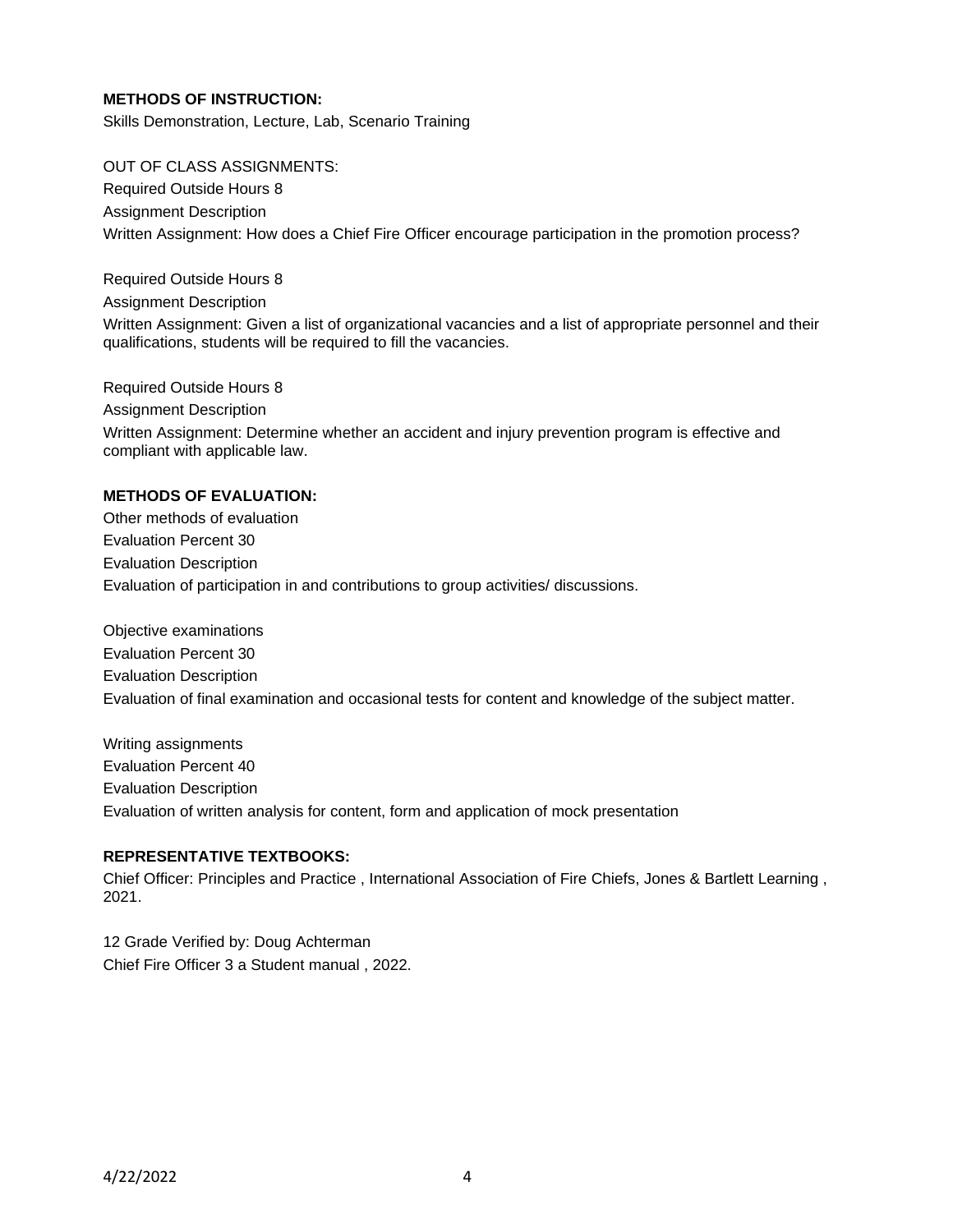### **METHODS OF INSTRUCTION:**

Skills Demonstration, Lecture, Lab, Scenario Training

#### OUT OF CLASS ASSIGNMENTS:

Required Outside Hours 8 Assignment Description Written Assignment: How does a Chief Fire Officer encourage participation in the promotion process?

Required Outside Hours 8 Assignment Description

Written Assignment: Given a list of organizational vacancies and a list of appropriate personnel and their qualifications, students will be required to fill the vacancies.

Required Outside Hours 8 Assignment Description Written Assignment: Determine whether an accident and injury prevention program is effective and compliant with applicable law.

#### **METHODS OF EVALUATION:**

Other methods of evaluation Evaluation Percent 30 Evaluation Description Evaluation of participation in and contributions to group activities/ discussions.

Objective examinations Evaluation Percent 30 Evaluation Description Evaluation of final examination and occasional tests for content and knowledge of the subject matter.

Writing assignments Evaluation Percent 40 Evaluation Description Evaluation of written analysis for content, form and application of mock presentation

## **REPRESENTATIVE TEXTBOOKS:**

Chief Officer: Principles and Practice , International Association of Fire Chiefs, Jones & Bartlett Learning , 2021.

12 Grade Verified by: Doug Achterman Chief Fire Officer 3 a Student manual , 2022.